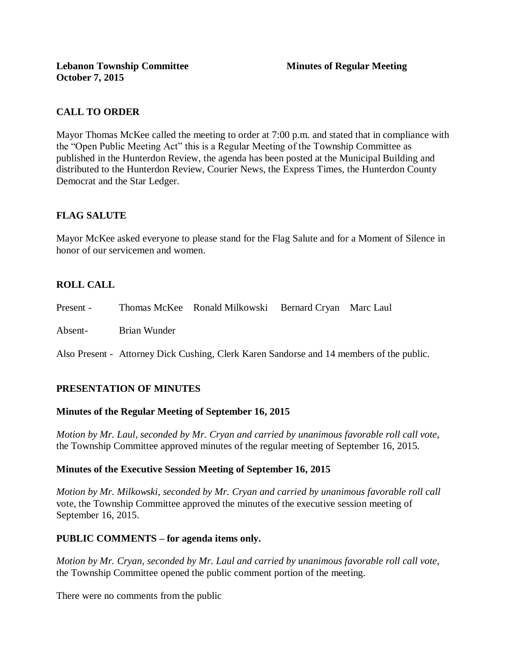# **CALL TO ORDER**

Mayor Thomas McKee called the meeting to order at 7:00 p.m. and stated that in compliance with the "Open Public Meeting Act" this is a Regular Meeting of the Township Committee as published in the Hunterdon Review, the agenda has been posted at the Municipal Building and distributed to the Hunterdon Review, Courier News, the Express Times, the Hunterdon County Democrat and the Star Ledger.

# **FLAG SALUTE**

Mayor McKee asked everyone to please stand for the Flag Salute and for a Moment of Silence in honor of our servicemen and women.

# **ROLL CALL**

| Present - |              | Thomas McKee Ronald Milkowski Bernard Cryan Marc Laul |  |
|-----------|--------------|-------------------------------------------------------|--|
| Absent-   | Brian Wunder |                                                       |  |

Also Present - Attorney Dick Cushing, Clerk Karen Sandorse and 14 members of the public.

## **PRESENTATION OF MINUTES**

## **Minutes of the Regular Meeting of September 16, 2015**

*Motion by Mr. Laul, seconded by Mr. Cryan and carried by unanimous favorable roll call vote,* the Township Committee approved minutes of the regular meeting of September 16, 2015.

## **Minutes of the Executive Session Meeting of September 16, 2015**

*Motion by Mr. Milkowski, seconded by Mr. Cryan and carried by unanimous favorable roll call*  vote, the Township Committee approved the minutes of the executive session meeting of September 16, 2015.

## **PUBLIC COMMENTS – for agenda items only.**

*Motion by Mr. Cryan, seconded by Mr. Laul and carried by unanimous favorable roll call vote,*  the Township Committee opened the public comment portion of the meeting.

There were no comments from the public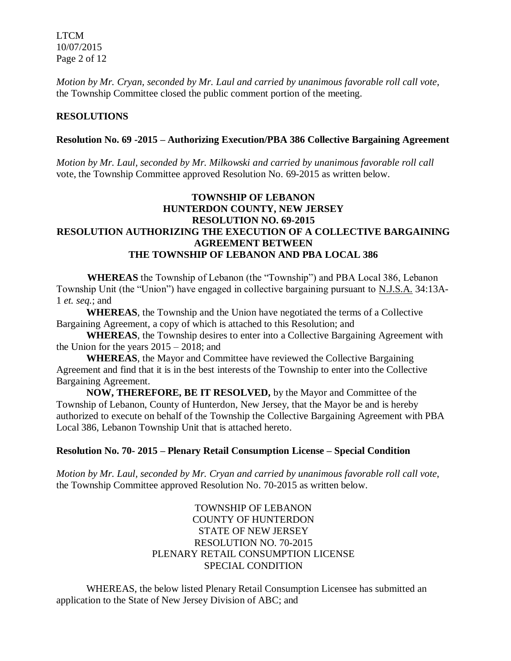LTCM 10/07/2015 Page 2 of 12

*Motion by Mr. Cryan, seconded by Mr. Laul and carried by unanimous favorable roll call vote,* the Township Committee closed the public comment portion of the meeting.

### **RESOLUTIONS**

#### **Resolution No. 69 -2015 – Authorizing Execution/PBA 386 Collective Bargaining Agreement**

*Motion by Mr. Laul, seconded by Mr. Milkowski and carried by unanimous favorable roll call*  vote, the Township Committee approved Resolution No. 69-2015 as written below.

## **TOWNSHIP OF LEBANON HUNTERDON COUNTY, NEW JERSEY RESOLUTION NO. 69-2015 RESOLUTION AUTHORIZING THE EXECUTION OF A COLLECTIVE BARGAINING AGREEMENT BETWEEN THE TOWNSHIP OF LEBANON AND PBA LOCAL 386**

 **WHEREAS** the Township of Lebanon (the "Township") and PBA Local 386, Lebanon Township Unit (the "Union") have engaged in collective bargaining pursuant to N.J.S.A. 34:13A-1 *et. seq.*; and

**WHEREAS**, the Township and the Union have negotiated the terms of a Collective Bargaining Agreement, a copy of which is attached to this Resolution; and

**WHEREAS**, the Township desires to enter into a Collective Bargaining Agreement with the Union for the years 2015 – 2018; and

**WHEREAS**, the Mayor and Committee have reviewed the Collective Bargaining Agreement and find that it is in the best interests of the Township to enter into the Collective Bargaining Agreement.

**NOW, THEREFORE, BE IT RESOLVED,** by the Mayor and Committee of the Township of Lebanon, County of Hunterdon, New Jersey, that the Mayor be and is hereby authorized to execute on behalf of the Township the Collective Bargaining Agreement with PBA Local 386, Lebanon Township Unit that is attached hereto.

#### **Resolution No. 70- 2015 – Plenary Retail Consumption License – Special Condition**

*Motion by Mr. Laul, seconded by Mr. Cryan and carried by unanimous favorable roll call vote*, the Township Committee approved Resolution No. 70-2015 as written below.

### TOWNSHIP OF LEBANON COUNTY OF HUNTERDON STATE OF NEW JERSEY RESOLUTION NO. 70-2015 PLENARY RETAIL CONSUMPTION LICENSE SPECIAL CONDITION

WHEREAS, the below listed Plenary Retail Consumption Licensee has submitted an application to the State of New Jersey Division of ABC; and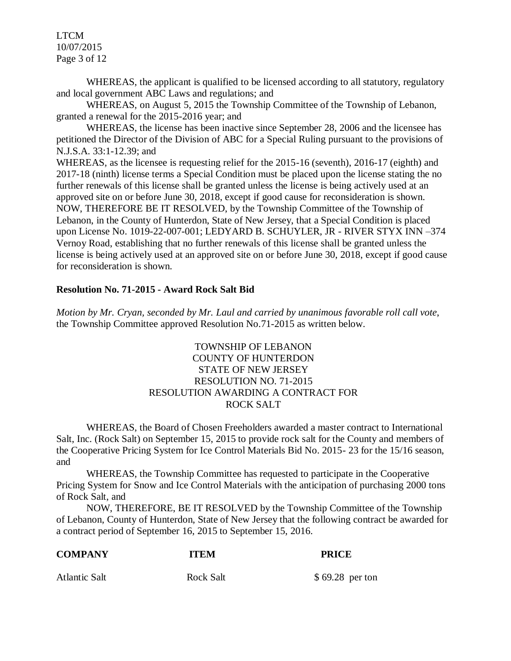LTCM 10/07/2015 Page 3 of 12

WHEREAS, the applicant is qualified to be licensed according to all statutory, regulatory and local government ABC Laws and regulations; and

WHEREAS, on August 5, 2015 the Township Committee of the Township of Lebanon, granted a renewal for the 2015-2016 year; and

WHEREAS, the license has been inactive since September 28, 2006 and the licensee has petitioned the Director of the Division of ABC for a Special Ruling pursuant to the provisions of N.J.S.A. 33:1-12.39; and

WHEREAS, as the licensee is requesting relief for the 2015-16 (seventh), 2016-17 (eighth) and 2017-18 (ninth) license terms a Special Condition must be placed upon the license stating the no further renewals of this license shall be granted unless the license is being actively used at an approved site on or before June 30, 2018, except if good cause for reconsideration is shown. NOW, THEREFORE BE IT RESOLVED, by the Township Committee of the Township of Lebanon, in the County of Hunterdon, State of New Jersey, that a Special Condition is placed upon License No. 1019-22-007-001; LEDYARD B. SCHUYLER, JR - RIVER STYX INN –374 Vernoy Road, establishing that no further renewals of this license shall be granted unless the license is being actively used at an approved site on or before June 30, 2018, except if good cause for reconsideration is shown.

#### **Resolution No. 71-2015 - Award Rock Salt Bid**

*Motion by Mr. Cryan, seconded by Mr. Laul and carried by unanimous favorable roll call vote*, the Township Committee approved Resolution No.71-2015 as written below.

### TOWNSHIP OF LEBANON COUNTY OF HUNTERDON STATE OF NEW JERSEY RESOLUTION NO. 71-2015 RESOLUTION AWARDING A CONTRACT FOR ROCK SALT

WHEREAS, the Board of Chosen Freeholders awarded a master contract to International Salt, Inc. (Rock Salt) on September 15, 2015 to provide rock salt for the County and members of the Cooperative Pricing System for Ice Control Materials Bid No. 2015- 23 for the 15/16 season, and

WHEREAS, the Township Committee has requested to participate in the Cooperative Pricing System for Snow and Ice Control Materials with the anticipation of purchasing 2000 tons of Rock Salt, and

NOW, THEREFORE, BE IT RESOLVED by the Township Committee of the Township of Lebanon, County of Hunterdon, State of New Jersey that the following contract be awarded for a contract period of September 16, 2015 to September 15, 2016.

| <b>COMPANY</b>       | <b>ITEM</b> | <b>PRICE</b>     |  |
|----------------------|-------------|------------------|--|
| <b>Atlantic Salt</b> | Rock Salt   | $$69.28$ per ton |  |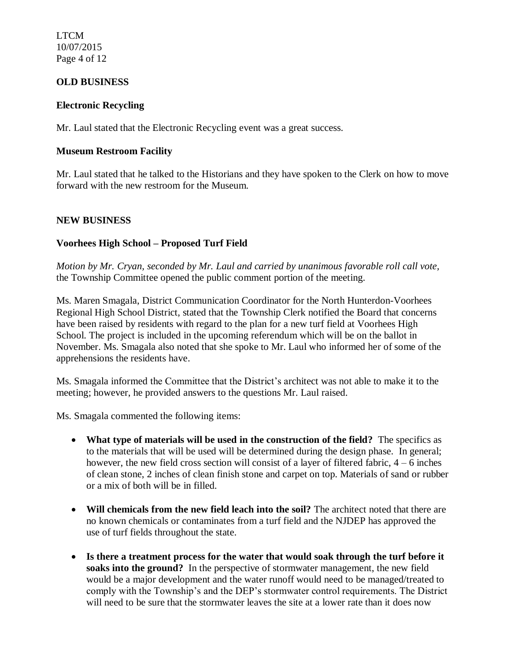LTCM 10/07/2015 Page 4 of 12

### **OLD BUSINESS**

#### **Electronic Recycling**

Mr. Laul stated that the Electronic Recycling event was a great success.

### **Museum Restroom Facility**

Mr. Laul stated that he talked to the Historians and they have spoken to the Clerk on how to move forward with the new restroom for the Museum.

### **NEW BUSINESS**

### **Voorhees High School – Proposed Turf Field**

*Motion by Mr. Cryan, seconded by Mr. Laul and carried by unanimous favorable roll call vote,*  the Township Committee opened the public comment portion of the meeting.

Ms. Maren Smagala, District Communication Coordinator for the North Hunterdon-Voorhees Regional High School District, stated that the Township Clerk notified the Board that concerns have been raised by residents with regard to the plan for a new turf field at Voorhees High School. The project is included in the upcoming referendum which will be on the ballot in November. Ms. Smagala also noted that she spoke to Mr. Laul who informed her of some of the apprehensions the residents have.

Ms. Smagala informed the Committee that the District's architect was not able to make it to the meeting; however, he provided answers to the questions Mr. Laul raised.

Ms. Smagala commented the following items:

- **What type of materials will be used in the construction of the field?** The specifics as to the materials that will be used will be determined during the design phase. In general; however, the new field cross section will consist of a layer of filtered fabric, 4 – 6 inches of clean stone, 2 inches of clean finish stone and carpet on top. Materials of sand or rubber or a mix of both will be in filled.
- **Will chemicals from the new field leach into the soil?** The architect noted that there are no known chemicals or contaminates from a turf field and the NJDEP has approved the use of turf fields throughout the state.
- **Is there a treatment process for the water that would soak through the turf before it soaks into the ground?** In the perspective of stormwater management, the new field would be a major development and the water runoff would need to be managed/treated to comply with the Township's and the DEP's stormwater control requirements. The District will need to be sure that the stormwater leaves the site at a lower rate than it does now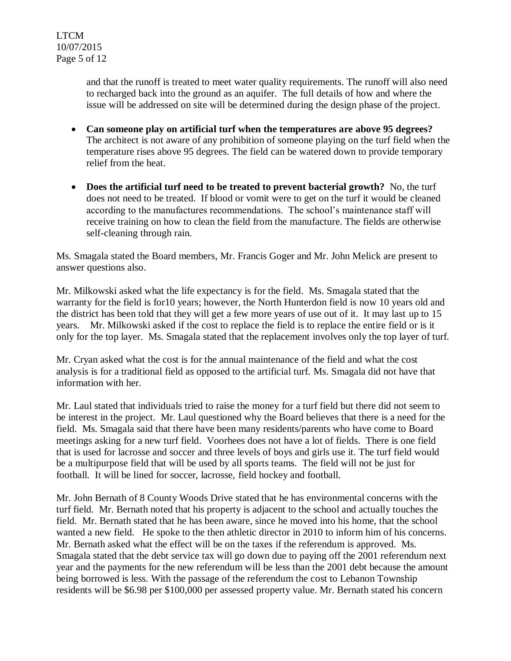LTCM 10/07/2015 Page 5 of 12

> and that the runoff is treated to meet water quality requirements. The runoff will also need to recharged back into the ground as an aquifer. The full details of how and where the issue will be addressed on site will be determined during the design phase of the project.

- **Can someone play on artificial turf when the temperatures are above 95 degrees?**  The architect is not aware of any prohibition of someone playing on the turf field when the temperature rises above 95 degrees. The field can be watered down to provide temporary relief from the heat.
- **Does the artificial turf need to be treated to prevent bacterial growth?** No, the turf does not need to be treated. If blood or vomit were to get on the turf it would be cleaned according to the manufactures recommendations. The school's maintenance staff will receive training on how to clean the field from the manufacture. The fields are otherwise self-cleaning through rain.

Ms. Smagala stated the Board members, Mr. Francis Goger and Mr. John Melick are present to answer questions also.

Mr. Milkowski asked what the life expectancy is for the field. Ms. Smagala stated that the warranty for the field is for10 years; however, the North Hunterdon field is now 10 years old and the district has been told that they will get a few more years of use out of it. It may last up to 15 years. Mr. Milkowski asked if the cost to replace the field is to replace the entire field or is it only for the top layer. Ms. Smagala stated that the replacement involves only the top layer of turf.

Mr. Cryan asked what the cost is for the annual maintenance of the field and what the cost analysis is for a traditional field as opposed to the artificial turf. Ms. Smagala did not have that information with her.

Mr. Laul stated that individuals tried to raise the money for a turf field but there did not seem to be interest in the project. Mr. Laul questioned why the Board believes that there is a need for the field. Ms. Smagala said that there have been many residents/parents who have come to Board meetings asking for a new turf field. Voorhees does not have a lot of fields. There is one field that is used for lacrosse and soccer and three levels of boys and girls use it. The turf field would be a multipurpose field that will be used by all sports teams. The field will not be just for football. It will be lined for soccer, lacrosse, field hockey and football.

Mr. John Bernath of 8 County Woods Drive stated that he has environmental concerns with the turf field. Mr. Bernath noted that his property is adjacent to the school and actually touches the field. Mr. Bernath stated that he has been aware, since he moved into his home, that the school wanted a new field. He spoke to the then athletic director in 2010 to inform him of his concerns. Mr. Bernath asked what the effect will be on the taxes if the referendum is approved. Ms. Smagala stated that the debt service tax will go down due to paying off the 2001 referendum next year and the payments for the new referendum will be less than the 2001 debt because the amount being borrowed is less. With the passage of the referendum the cost to Lebanon Township residents will be \$6.98 per \$100,000 per assessed property value. Mr. Bernath stated his concern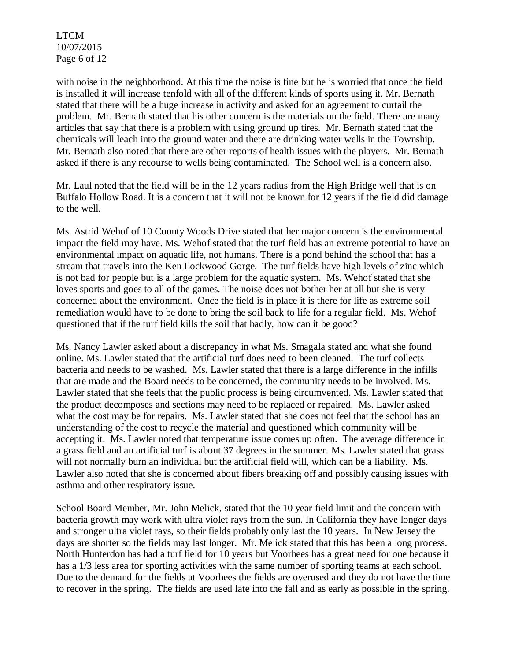LTCM 10/07/2015 Page 6 of 12

with noise in the neighborhood. At this time the noise is fine but he is worried that once the field is installed it will increase tenfold with all of the different kinds of sports using it. Mr. Bernath stated that there will be a huge increase in activity and asked for an agreement to curtail the problem. Mr. Bernath stated that his other concern is the materials on the field. There are many articles that say that there is a problem with using ground up tires. Mr. Bernath stated that the chemicals will leach into the ground water and there are drinking water wells in the Township. Mr. Bernath also noted that there are other reports of health issues with the players. Mr. Bernath asked if there is any recourse to wells being contaminated. The School well is a concern also.

Mr. Laul noted that the field will be in the 12 years radius from the High Bridge well that is on Buffalo Hollow Road. It is a concern that it will not be known for 12 years if the field did damage to the well.

Ms. Astrid Wehof of 10 County Woods Drive stated that her major concern is the environmental impact the field may have. Ms. Wehof stated that the turf field has an extreme potential to have an environmental impact on aquatic life, not humans. There is a pond behind the school that has a stream that travels into the Ken Lockwood Gorge. The turf fields have high levels of zinc which is not bad for people but is a large problem for the aquatic system. Ms. Wehof stated that she loves sports and goes to all of the games. The noise does not bother her at all but she is very concerned about the environment. Once the field is in place it is there for life as extreme soil remediation would have to be done to bring the soil back to life for a regular field. Ms. Wehof questioned that if the turf field kills the soil that badly, how can it be good?

Ms. Nancy Lawler asked about a discrepancy in what Ms. Smagala stated and what she found online. Ms. Lawler stated that the artificial turf does need to been cleaned. The turf collects bacteria and needs to be washed. Ms. Lawler stated that there is a large difference in the infills that are made and the Board needs to be concerned, the community needs to be involved. Ms. Lawler stated that she feels that the public process is being circumvented. Ms. Lawler stated that the product decomposes and sections may need to be replaced or repaired. Ms. Lawler asked what the cost may be for repairs. Ms. Lawler stated that she does not feel that the school has an understanding of the cost to recycle the material and questioned which community will be accepting it. Ms. Lawler noted that temperature issue comes up often. The average difference in a grass field and an artificial turf is about 37 degrees in the summer. Ms. Lawler stated that grass will not normally burn an individual but the artificial field will, which can be a liability. Ms. Lawler also noted that she is concerned about fibers breaking off and possibly causing issues with asthma and other respiratory issue.

School Board Member, Mr. John Melick, stated that the 10 year field limit and the concern with bacteria growth may work with ultra violet rays from the sun. In California they have longer days and stronger ultra violet rays, so their fields probably only last the 10 years. In New Jersey the days are shorter so the fields may last longer. Mr. Melick stated that this has been a long process. North Hunterdon has had a turf field for 10 years but Voorhees has a great need for one because it has a 1/3 less area for sporting activities with the same number of sporting teams at each school. Due to the demand for the fields at Voorhees the fields are overused and they do not have the time to recover in the spring. The fields are used late into the fall and as early as possible in the spring.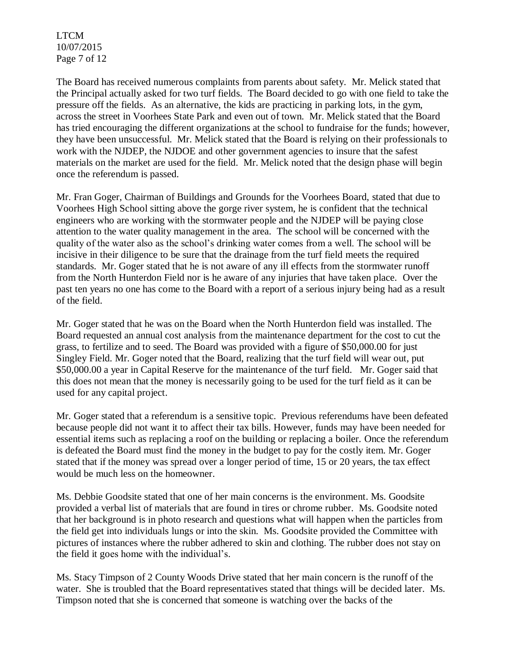LTCM 10/07/2015 Page 7 of 12

The Board has received numerous complaints from parents about safety. Mr. Melick stated that the Principal actually asked for two turf fields. The Board decided to go with one field to take the pressure off the fields. As an alternative, the kids are practicing in parking lots, in the gym, across the street in Voorhees State Park and even out of town. Mr. Melick stated that the Board has tried encouraging the different organizations at the school to fundraise for the funds; however, they have been unsuccessful. Mr. Melick stated that the Board is relying on their professionals to work with the NJDEP, the NJDOE and other government agencies to insure that the safest materials on the market are used for the field. Mr. Melick noted that the design phase will begin once the referendum is passed.

Mr. Fran Goger, Chairman of Buildings and Grounds for the Voorhees Board, stated that due to Voorhees High School sitting above the gorge river system, he is confident that the technical engineers who are working with the stormwater people and the NJDEP will be paying close attention to the water quality management in the area. The school will be concerned with the quality of the water also as the school's drinking water comes from a well. The school will be incisive in their diligence to be sure that the drainage from the turf field meets the required standards. Mr. Goger stated that he is not aware of any ill effects from the stormwater runoff from the North Hunterdon Field nor is he aware of any injuries that have taken place. Over the past ten years no one has come to the Board with a report of a serious injury being had as a result of the field.

Mr. Goger stated that he was on the Board when the North Hunterdon field was installed. The Board requested an annual cost analysis from the maintenance department for the cost to cut the grass, to fertilize and to seed. The Board was provided with a figure of \$50,000.00 for just Singley Field. Mr. Goger noted that the Board, realizing that the turf field will wear out, put \$50,000.00 a year in Capital Reserve for the maintenance of the turf field. Mr. Goger said that this does not mean that the money is necessarily going to be used for the turf field as it can be used for any capital project.

Mr. Goger stated that a referendum is a sensitive topic. Previous referendums have been defeated because people did not want it to affect their tax bills. However, funds may have been needed for essential items such as replacing a roof on the building or replacing a boiler. Once the referendum is defeated the Board must find the money in the budget to pay for the costly item. Mr. Goger stated that if the money was spread over a longer period of time, 15 or 20 years, the tax effect would be much less on the homeowner.

Ms. Debbie Goodsite stated that one of her main concerns is the environment. Ms. Goodsite provided a verbal list of materials that are found in tires or chrome rubber. Ms. Goodsite noted that her background is in photo research and questions what will happen when the particles from the field get into individuals lungs or into the skin. Ms. Goodsite provided the Committee with pictures of instances where the rubber adhered to skin and clothing. The rubber does not stay on the field it goes home with the individual's.

Ms. Stacy Timpson of 2 County Woods Drive stated that her main concern is the runoff of the water. She is troubled that the Board representatives stated that things will be decided later. Ms. Timpson noted that she is concerned that someone is watching over the backs of the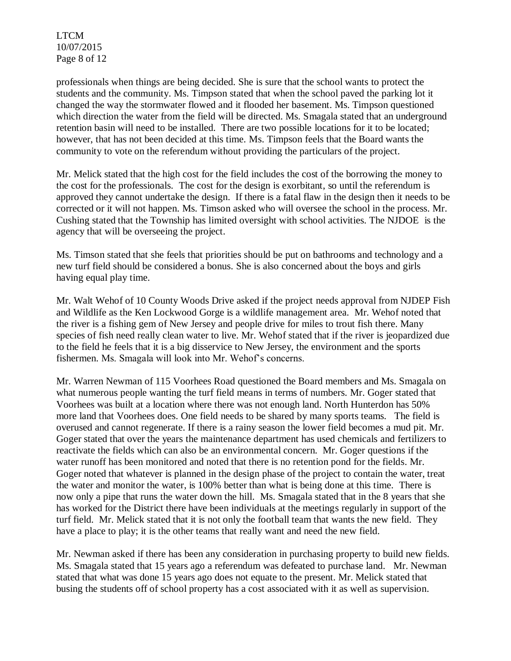LTCM 10/07/2015 Page 8 of 12

professionals when things are being decided. She is sure that the school wants to protect the students and the community. Ms. Timpson stated that when the school paved the parking lot it changed the way the stormwater flowed and it flooded her basement. Ms. Timpson questioned which direction the water from the field will be directed. Ms. Smagala stated that an underground retention basin will need to be installed. There are two possible locations for it to be located; however, that has not been decided at this time. Ms. Timpson feels that the Board wants the community to vote on the referendum without providing the particulars of the project.

Mr. Melick stated that the high cost for the field includes the cost of the borrowing the money to the cost for the professionals. The cost for the design is exorbitant, so until the referendum is approved they cannot undertake the design. If there is a fatal flaw in the design then it needs to be corrected or it will not happen. Ms. Timson asked who will oversee the school in the process. Mr. Cushing stated that the Township has limited oversight with school activities. The NJDOE is the agency that will be overseeing the project.

Ms. Timson stated that she feels that priorities should be put on bathrooms and technology and a new turf field should be considered a bonus. She is also concerned about the boys and girls having equal play time.

Mr. Walt Wehof of 10 County Woods Drive asked if the project needs approval from NJDEP Fish and Wildlife as the Ken Lockwood Gorge is a wildlife management area. Mr. Wehof noted that the river is a fishing gem of New Jersey and people drive for miles to trout fish there. Many species of fish need really clean water to live. Mr. Wehof stated that if the river is jeopardized due to the field he feels that it is a big disservice to New Jersey, the environment and the sports fishermen. Ms. Smagala will look into Mr. Wehof's concerns.

Mr. Warren Newman of 115 Voorhees Road questioned the Board members and Ms. Smagala on what numerous people wanting the turf field means in terms of numbers. Mr. Goger stated that Voorhees was built at a location where there was not enough land. North Hunterdon has 50% more land that Voorhees does. One field needs to be shared by many sports teams. The field is overused and cannot regenerate. If there is a rainy season the lower field becomes a mud pit. Mr. Goger stated that over the years the maintenance department has used chemicals and fertilizers to reactivate the fields which can also be an environmental concern. Mr. Goger questions if the water runoff has been monitored and noted that there is no retention pond for the fields. Mr. Goger noted that whatever is planned in the design phase of the project to contain the water, treat the water and monitor the water, is 100% better than what is being done at this time. There is now only a pipe that runs the water down the hill. Ms. Smagala stated that in the 8 years that she has worked for the District there have been individuals at the meetings regularly in support of the turf field. Mr. Melick stated that it is not only the football team that wants the new field. They have a place to play; it is the other teams that really want and need the new field.

Mr. Newman asked if there has been any consideration in purchasing property to build new fields. Ms. Smagala stated that 15 years ago a referendum was defeated to purchase land. Mr. Newman stated that what was done 15 years ago does not equate to the present. Mr. Melick stated that busing the students off of school property has a cost associated with it as well as supervision.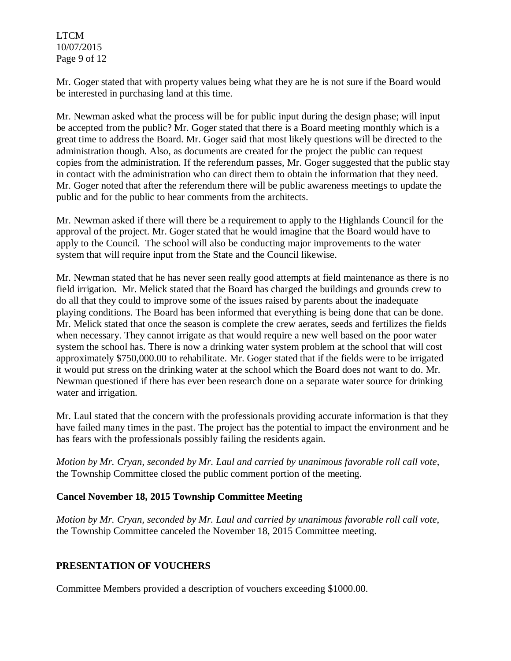LTCM 10/07/2015 Page 9 of 12

Mr. Goger stated that with property values being what they are he is not sure if the Board would be interested in purchasing land at this time.

Mr. Newman asked what the process will be for public input during the design phase; will input be accepted from the public? Mr. Goger stated that there is a Board meeting monthly which is a great time to address the Board. Mr. Goger said that most likely questions will be directed to the administration though. Also, as documents are created for the project the public can request copies from the administration. If the referendum passes, Mr. Goger suggested that the public stay in contact with the administration who can direct them to obtain the information that they need. Mr. Goger noted that after the referendum there will be public awareness meetings to update the public and for the public to hear comments from the architects.

Mr. Newman asked if there will there be a requirement to apply to the Highlands Council for the approval of the project. Mr. Goger stated that he would imagine that the Board would have to apply to the Council. The school will also be conducting major improvements to the water system that will require input from the State and the Council likewise.

Mr. Newman stated that he has never seen really good attempts at field maintenance as there is no field irrigation. Mr. Melick stated that the Board has charged the buildings and grounds crew to do all that they could to improve some of the issues raised by parents about the inadequate playing conditions. The Board has been informed that everything is being done that can be done. Mr. Melick stated that once the season is complete the crew aerates, seeds and fertilizes the fields when necessary. They cannot irrigate as that would require a new well based on the poor water system the school has. There is now a drinking water system problem at the school that will cost approximately \$750,000.00 to rehabilitate. Mr. Goger stated that if the fields were to be irrigated it would put stress on the drinking water at the school which the Board does not want to do. Mr. Newman questioned if there has ever been research done on a separate water source for drinking water and irrigation.

Mr. Laul stated that the concern with the professionals providing accurate information is that they have failed many times in the past. The project has the potential to impact the environment and he has fears with the professionals possibly failing the residents again.

*Motion by Mr. Cryan, seconded by Mr. Laul and carried by unanimous favorable roll call vote,*  the Township Committee closed the public comment portion of the meeting.

## **Cancel November 18, 2015 Township Committee Meeting**

*Motion by Mr. Cryan, seconded by Mr. Laul and carried by unanimous favorable roll call vote*, the Township Committee canceled the November 18, 2015 Committee meeting.

## **PRESENTATION OF VOUCHERS**

Committee Members provided a description of vouchers exceeding \$1000.00.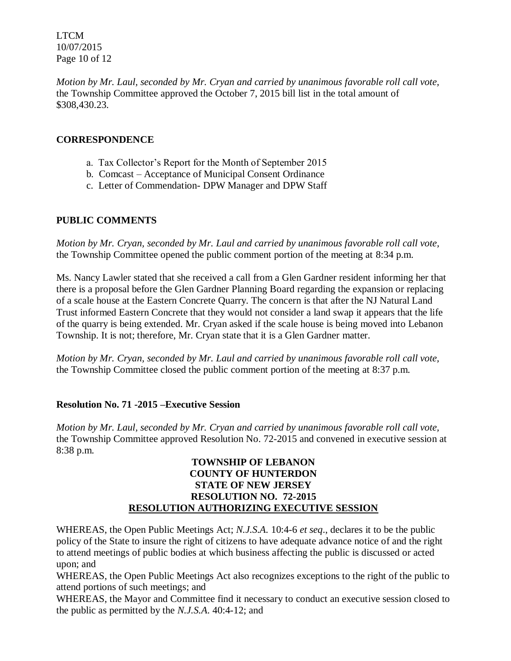LTCM 10/07/2015 Page 10 of 12

*Motion by Mr. Laul, seconded by Mr. Cryan and carried by unanimous favorable roll call vote,*  the Township Committee approved the October 7, 2015 bill list in the total amount of \$308,430.23.

## **CORRESPONDENCE**

- a. Tax Collector's Report for the Month of September 2015
- b. Comcast Acceptance of Municipal Consent Ordinance
- c. Letter of Commendation- DPW Manager and DPW Staff

# **PUBLIC COMMENTS**

*Motion by Mr. Cryan, seconded by Mr. Laul and carried by unanimous favorable roll call vote,* the Township Committee opened the public comment portion of the meeting at 8:34 p.m.

Ms. Nancy Lawler stated that she received a call from a Glen Gardner resident informing her that there is a proposal before the Glen Gardner Planning Board regarding the expansion or replacing of a scale house at the Eastern Concrete Quarry. The concern is that after the NJ Natural Land Trust informed Eastern Concrete that they would not consider a land swap it appears that the life of the quarry is being extended. Mr. Cryan asked if the scale house is being moved into Lebanon Township. It is not; therefore, Mr. Cryan state that it is a Glen Gardner matter.

*Motion by Mr. Cryan, seconded by Mr. Laul and carried by unanimous favorable roll call vote,* the Township Committee closed the public comment portion of the meeting at 8:37 p.m.

## **Resolution No. 71 -2015 –Executive Session**

*Motion by Mr. Laul, seconded by Mr. Cryan and carried by unanimous favorable roll call vote,* the Township Committee approved Resolution No. 72-2015 and convened in executive session at 8:38 p.m.

### **TOWNSHIP OF LEBANON COUNTY OF HUNTERDON STATE OF NEW JERSEY RESOLUTION NO. 72-2015 RESOLUTION AUTHORIZING EXECUTIVE SESSION**

WHEREAS, the Open Public Meetings Act; *N.J.S.A.* 10:4-6 *et seq*., declares it to be the public policy of the State to insure the right of citizens to have adequate advance notice of and the right to attend meetings of public bodies at which business affecting the public is discussed or acted upon; and

WHEREAS, the Open Public Meetings Act also recognizes exceptions to the right of the public to attend portions of such meetings; and

WHEREAS, the Mayor and Committee find it necessary to conduct an executive session closed to the public as permitted by the *N.J.S.A*. 40:4-12; and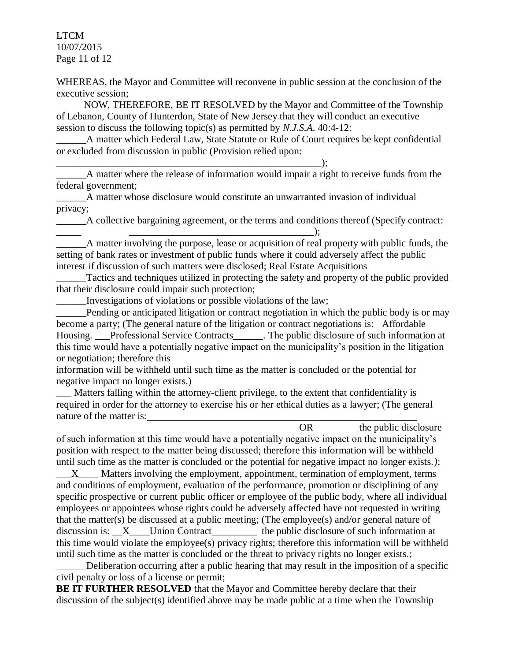LTCM 10/07/2015 Page 11 of 12

WHEREAS, the Mayor and Committee will reconvene in public session at the conclusion of the executive session;

 NOW, THEREFORE, BE IT RESOLVED by the Mayor and Committee of the Township of Lebanon, County of Hunterdon, State of New Jersey that they will conduct an executive session to discuss the following topic(s) as permitted by *N.J.S.A*. 40:4-12:

A matter which Federal Law, State Statute or Rule of Court requires be kept confidential or excluded from discussion in public (Provision relied upon:

\_\_\_\_\_\_\_\_\_\_\_\_\_\_\_\_\_\_\_\_\_\_\_\_\_\_\_\_\_\_\_\_\_\_\_\_\_\_\_\_\_\_\_\_\_\_\_\_\_\_\_\_\_);

A matter where the release of information would impair a right to receive funds from the federal government;

\_\_\_\_\_\_A matter whose disclosure would constitute an unwarranted invasion of individual privacy;

\_\_\_\_\_\_A collective bargaining agreement, or the terms and conditions thereof (Specify contract: \_\_\_\_\_ \_\_\_\_\_\_\_\_\_\_\_\_\_\_\_\_\_\_\_\_\_\_\_\_\_\_\_\_\_\_\_\_\_\_\_\_\_);

\_\_\_\_\_\_A matter involving the purpose, lease or acquisition of real property with public funds, the setting of bank rates or investment of public funds where it could adversely affect the public interest if discussion of such matters were disclosed; Real Estate Acquisitions

Tactics and techniques utilized in protecting the safety and property of the public provided that their disclosure could impair such protection;

\_\_\_\_\_\_Investigations of violations or possible violations of the law;

Pending or anticipated litigation or contract negotiation in which the public body is or may become a party; (The general nature of the litigation or contract negotiations is: Affordable Housing. Professional Service Contracts The public disclosure of such information at this time would have a potentially negative impact on the municipality's position in the litigation or negotiation; therefore this

information will be withheld until such time as the matter is concluded or the potential for negative impact no longer exists.)

\_\_\_ Matters falling within the attorney-client privilege, to the extent that confidentiality is required in order for the attorney to exercise his or her ethical duties as a lawyer; (The general nature of the matter is:

OR the public disclosure of such information at this time would have a potentially negative impact on the municipality's position with respect to the matter being discussed; therefore this information will be withheld until such time as the matter is concluded or the potential for negative impact no longer exists.*)*;

X Matters involving the employment, appointment, termination of employment, terms and conditions of employment, evaluation of the performance, promotion or disciplining of any specific prospective or current public officer or employee of the public body, where all individual employees or appointees whose rights could be adversely affected have not requested in writing that the matter(s) be discussed at a public meeting; (The employee(s) and/or general nature of discussion is: \_\_X\_\_\_\_Union Contract\_\_\_\_\_\_\_\_\_\_ the public disclosure of such information at this time would violate the employee(s) privacy rights; therefore this information will be withheld until such time as the matter is concluded or the threat to privacy rights no longer exists.;

Deliberation occurring after a public hearing that may result in the imposition of a specific civil penalty or loss of a license or permit;

**BE IT FURTHER RESOLVED** that the Mayor and Committee hereby declare that their discussion of the subject(s) identified above may be made public at a time when the Township